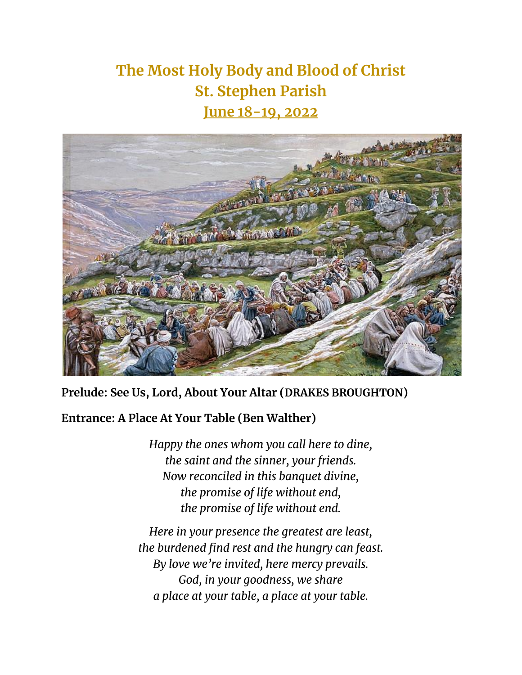# **The Most Holy Body and Blood of Christ St. Stephen Parish June 18-19, 2022**



## **Prelude: See Us, Lord, About Your Altar (DRAKES BROUGHTON)**

## **Entrance: A Place At Your Table (Ben Walther)**

*Happy the ones whom you call here to dine, the saint and the sinner, your friends. Now reconciled in this banquet divine, the promise of life without end, the promise of life without end.*

*Here in your presence the greatest are least, the burdened find rest and the hungry can feast. By love we're invited, here mercy prevails. God, in your goodness, we share a place at your table, a place at your table.*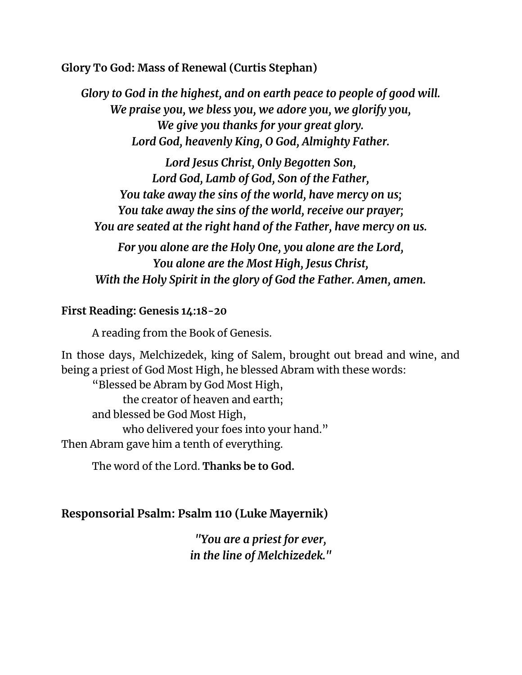**Glory To God: Mass of Renewal (Curtis Stephan)**

*Glory to God in the highest, and on earth peace to people of good will. We praise you, we bless you, we adore you, we glorify you, We give you thanks for your great glory. Lord God, heavenly King, O God, Almighty Father.*

*Lord Jesus Christ, Only Begotten Son, Lord God, Lamb of God, Son of the Father, You take away the sins of the world, have mercy on us; You take away the sins of the world, receive our prayer; You are seated at the right hand of the Father, have mercy on us.*

*For you alone are the Holy One, you alone are the Lord, You alone are the Most High, Jesus Christ, With the Holy Spirit in the glory of God the Father. Amen, amen.*

#### **First Reading: Genesis 14:18-20**

A reading from the Book of Genesis.

In those days, Melchizedek, king of Salem, brought out bread and wine, and being a priest of God Most High, he blessed Abram with these words:

"Blessed be Abram by God Most High, the creator of heaven and earth; and blessed be God Most High, who delivered your foes into your hand." Then Abram gave him a tenth of everything.

The word of the Lord. **Thanks be to God.**

# **Responsorial Psalm: Psalm 110 (Luke Mayernik)**

*"You are a priest for ever, in the line of Melchizedek."*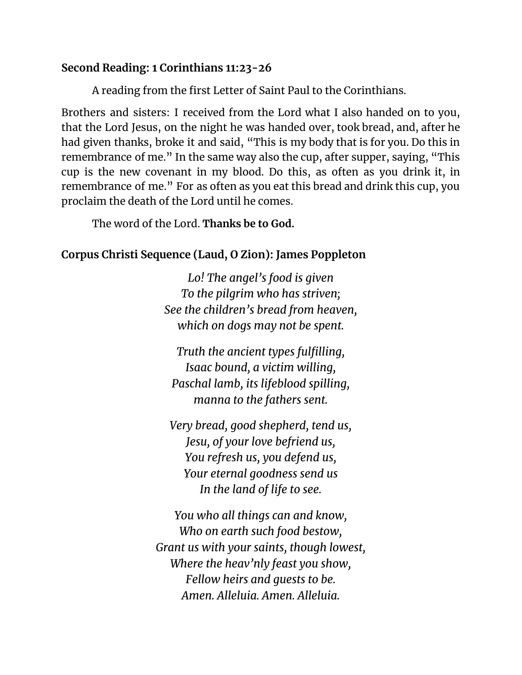#### **Second Reading: 1 Corinthians 11:23-26**

A reading from the first Letter of Saint Paul to the Corinthians.

Brothers and sisters: I received from the Lord what I also handed on to you, that the Lord Jesus, on the night he was handed over, took bread, and, after he had given thanks, broke it and said, "This is my body that is for you. Do this in remembrance of me." In the same way also the cup, after supper, saying, "This cup is the new covenant in my blood. Do this, as often as you drink it, in remembrance of me." For as often as you eat this bread and drink this cup, you proclaim the death of the Lord until he comes.

The word of the Lord. **Thanks be to God.**

# **Corpus Christi Sequence (Laud, O Zion): James Poppleton**

*Lo! The angel's food is given To the pilgrim who has striven; See the children's bread from heaven, which on dogs may not be spent.*

*Truth the ancient types fulfilling, Isaac bound, a victim willing, Paschal lamb, its lifeblood spilling, manna to the fathers sent.*

*Very bread, good shepherd, tend us, Jesu, of your love befriend us, You refresh us, you defend us, Your eternal goodness send us In the land of life to see.*

*You who all things can and know, Who on earth such food bestow, Grant us with your saints, though lowest, Where the heav'nly feast you show, Fellow heirs and guests to be. Amen. Alleluia. Amen. Alleluia.*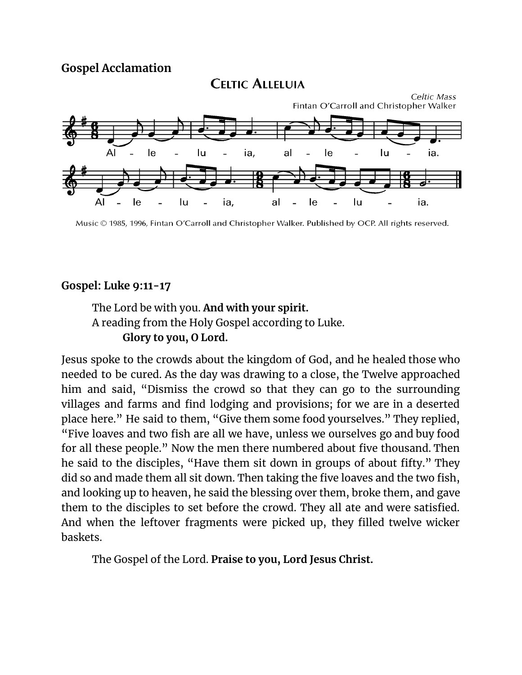**Gospel Acclamation**



Music © 1985, 1996, Fintan O'Carroll and Christopher Walker. Published by OCP. All rights reserved.

#### **Gospel: Luke 9:11-17**

The Lord be with you. **And with your spirit.** A reading from the Holy Gospel according to Luke. **Glory to you, O Lord.**

Jesus spoke to the crowds about the kingdom of God, and he healed those who needed to be cured. As the day was drawing to a close, the Twelve approached him and said, "Dismiss the crowd so that they can go to the surrounding villages and farms and find lodging and provisions; for we are in a deserted place here." He said to them, "Give them some food yourselves." They replied, "Five loaves and two fish are all we have, unless we ourselves go and buy food for all these people." Now the men there numbered about five thousand. Then he said to the disciples, "Have them sit down in groups of about fifty." They did so and made them all sit down. Then taking the five loaves and the two fish, and looking up to heaven, he said the blessing over them, broke them, and gave them to the disciples to set before the crowd. They all ate and were satisfied. And when the leftover fragments were picked up, they filled twelve wicker baskets.

The Gospel of the Lord. **Praise to you, Lord Jesus Christ.**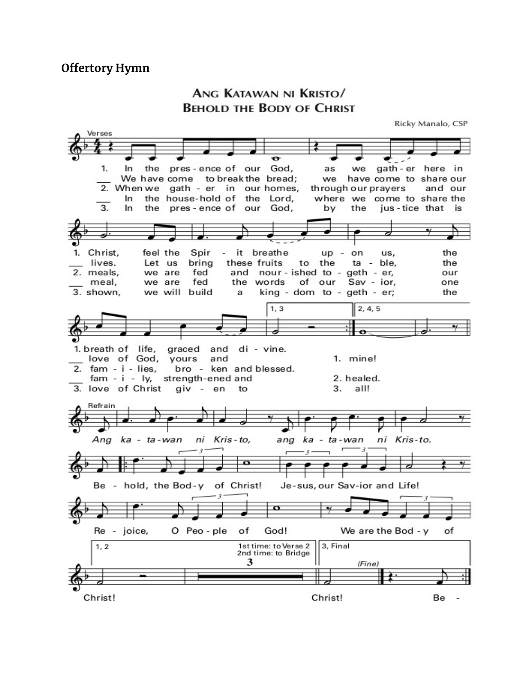#### **Offertory Hymn**

ANG KATAWAN NI KRISTO/ **BEHOLD THE BODY OF CHRIST** 

Ricky Manalo, CSP

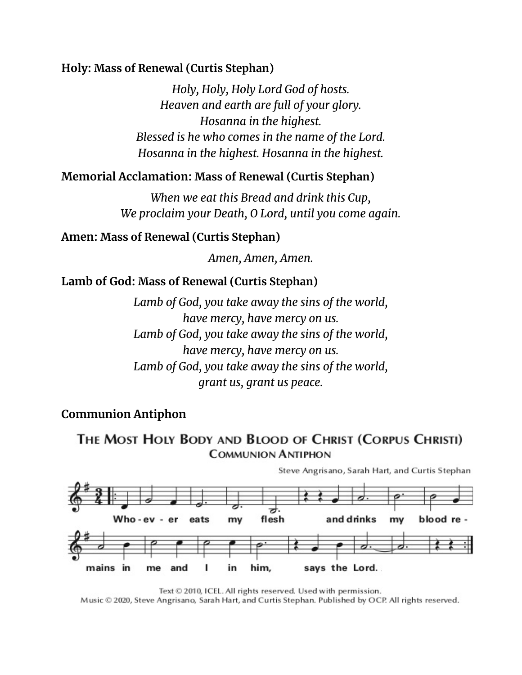#### **Holy: Mass of Renewal (Curtis Stephan)**

*Holy, Holy, Holy Lord God of hosts. Heaven and earth are full of your glory. Hosanna in the highest. Blessed is he who comes in the name of the Lord. Hosanna in the highest. Hosanna in the highest.*

## **Memorial Acclamation: Mass of Renewal (Curtis Stephan)**

*When we eat this Bread and drink this Cup, We proclaim your Death, O Lord, until you come again.*

## **Amen: Mass of Renewal (Curtis Stephan)**

*Amen, Amen, Amen.*

# **Lamb of God: Mass of Renewal (Curtis Stephan)**

*Lamb of God, you take away the sins of the world, have mercy, have mercy on us. Lamb of God, you take away the sins of the world, have mercy, have mercy on us. Lamb of God, you take away the sins of the world, grant us, grant us peace.*

# **Communion Antiphon**

# THE MOST HOLY BODY AND BLOOD OF CHRIST (CORPUS CHRISTI) **COMMUNION ANTIPHON**



Steve Angrisano, Sarah Hart, and Curtis Stephan

Text © 2010, ICEL. All rights reserved. Used with permission. Music @ 2020, Steve Angrisano, Sarah Hart, and Curtis Stephan. Published by OCP. All rights reserved.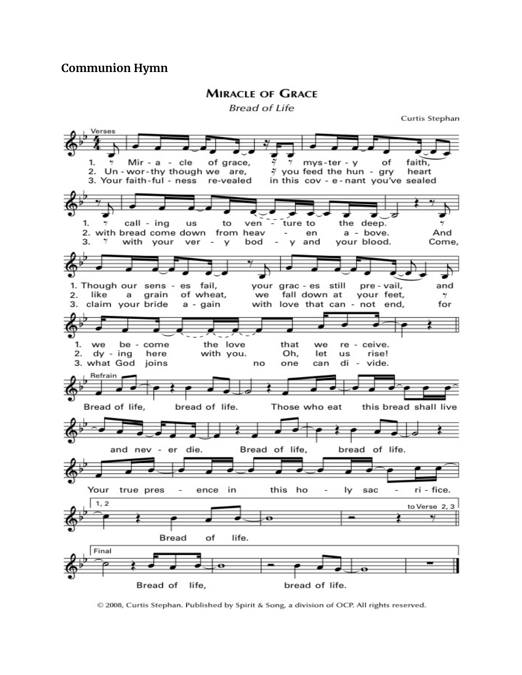#### **MIRACLE OF GRACE**

**Bread of Life** 

Curtis Stephan

Verses Mir - a - cle 1. of grace, mys-ter - y оf faith, y you feed the hun - gry 2. Un - wor-thy though we are, heart 3. Your faith-ful - ness re-vealed in this cov - e-nant you've sealed  $\mathbf{1}$  $\mathbf{y}$ call - ing us to ven ture to the deep. 2. with bread come down from heav en a - bove. And 3. Come, with your ver - y bod your blood. y  $\overline{a}$ y and 1. Though our sens - es fail, your grac - es still pre - vail, and  $2.$ like  $\mathbf{a}$ grain of wheat, we fall down at your feet,  $\mathcal{A}$ 3. claim your bride with love that can - not end, for a - gain 1. we be - come the love that we re - ceive. with you. rise!  $\overline{2}$ .  $dy - ing$ here Oh, let us 3. what God joins one di - vide. no can Refrain Bread of life, bread of life. this bread shall live Those who eat and nev - er die. Bread of life, bread of life. Your ri - fice. true pres  $\overline{\phantom{a}}$ ence in this ho  $\frac{1}{2}$ lγ sac  $\overline{a}$  $1, 2$ to Verse 2, 3 of **Bread** life. Final Bread of life, bread of life.

© 2008, Curtis Stephan. Published by Spirit & Song, a division of OCP. All rights reserved.